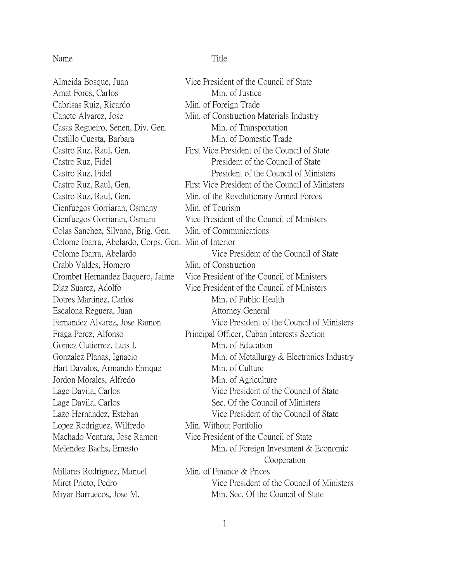## Name Title

Amat Fores, Carlos Min. of Justice Cabrisas Ruiz, Ricardo Min. of Foreign Trade Casas Regueiro, Senen, Div. Gen. Min. of Transportation Castillo Cuesta, Barbara Min. of Domestic Trade Cienfuegos Gorriaran, Osmany Min. of Tourism Colas Sanchez, Silvano, Brig. Gen. Min. of Communications Colome Ibarra, Abelardo, Corps. Gen. Min of Interior Crabb Valdes, Homero Min. of Construction Dotres Martinez, Carlos Min. of Public Health Escalona Reguera, Juan Attorney General Gomez Gutierrez, Luis I. Min. of Education Hart Davalos, Armando Enrique Min. of Culture Jordon Morales, Alfredo Min. of Agriculture Lopez Rodriguez, Wilfredo Min. Without Portfolio

Almeida Bosque, Juan Vice President of the Council of State Canete Alvarez, Jose Min. of Construction Materials Industry Castro Ruz, Raul, Gen. First Vice President of the Council of State Castro Ruz, Fidel President of the Council of State Castro Ruz, Fidel **President** President of the Council of Ministers Castro Ruz, Raul, Gen. First Vice President of the Council of Ministers Castro Ruz, Raul, Gen. Min. of the Revolutionary Armed Forces Cienfuegos Gorriaran, Osmani Vice President of the Council of Ministers Colome Ibarra, Abelardo Vice President of the Council of State Crombet Hernandez Baquero, Jaime Vice President of the Council of Ministers Diaz Suarez, Adolfo Vice President of the Council of Ministers Fernandez Alvarez, Jose Ramon Vice President of the Council of Ministers Fraga Perez, Alfonso Principal Officer, Cuban Interests Section Gonzalez Planas, Ignacio Min. of Metallurgy & Electronics Industry Lage Davila, Carlos Vice President of the Council of State Lage Davila, Carlos Sec. Of the Council of Ministers Lazo Hernandez, Esteban Vice President of the Council of State Machado Ventura, Jose Ramon Vice President of the Council of State Melendez Bachs, Ernesto Min. of Foreign Investment & Economic Cooperation Millares Rodriguez, Manuel Min. of Finance & Prices Miret Prieto, Pedro Vice President of the Council of Ministers Miyar Barruecos, Jose M. Min. Sec. Of the Council of State